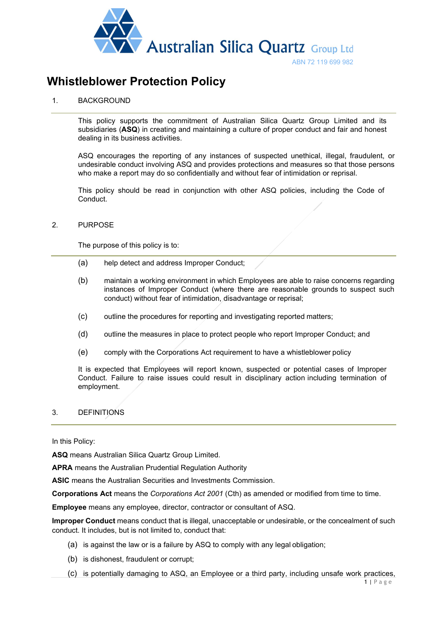

# **Whistleblower Protection Policy**

## 1. BACKGROUND

This policy supports the commitment of Australian Silica Quartz Group Limited and its subsidiaries (**ASQ**) in creating and maintaining a culture of proper conduct and fair and honest dealing in its business activities.

ASQ encourages the reporting of any instances of suspected unethical, illegal, fraudulent, or undesirable conduct involving ASQ and provides protections and measures so that those persons who make a report may do so confidentially and without fear of intimidation or reprisal.

This policy should be read in conjunction with other ASQ policies, including the Code of Conduct.

## 2. PURPOSE

The purpose of this policy is to:

- (a) help detect and address Improper Conduct;
- (b) maintain a working environment in which Employees are able to raise concerns regarding instances of Improper Conduct (where there are reasonable grounds to suspect such conduct) without fear of intimidation, disadvantage or reprisal;
- (c) outline the procedures for reporting and investigating reported matters;
- (d) outline the measures in place to protect people who report Improper Conduct; and
- (e) comply with the Corporations Act requirement to have a whistleblower policy

It is expected that Employees will report known, suspected or potential cases of Improper Conduct. Failure to raise issues could result in disciplinary action including termination of employment.

## 3. DEFINITIONS

In this Policy:

**ASQ** means Australian Silica Quartz Group Limited.

**APRA** means the Australian Prudential Regulation Authority

**ASIC** means the Australian Securities and Investments Commission.

**Corporations Act** means the *Corporations Act 2001* (Cth) as amended or modified from time to time.

**Employee** means any employee, director, contractor or consultant of ASQ.

**Improper Conduct** means conduct that is illegal, unacceptable or undesirable, or the concealment of such conduct. It includes, but is not limited to, conduct that:

- (a) is against the law or is a failure by ASQ to comply with any legal obligation;
- (b) is dishonest, fraudulent or corrupt;
- (c) is potentially damaging to ASQ, an Employee or a third party, including unsafe work practices,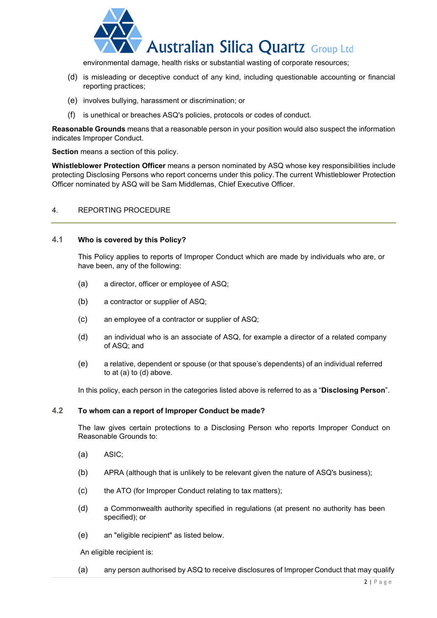

environmental damage, health risks or substantial wasting of corporate resources;

- (d) is misleading or deceptive conduct of any kind, including questionable accounting or financial reporting practices;
- (e) involves bullying, harassment or discrimination; or
- (f) is unethical or breaches ASQ's policies, protocols or codes of conduct.

**Reasonable Grounds** means that a reasonable person in your position would also suspect the information indicates Improper Conduct.

**Section** means a section of this policy.

**Whistleblower Protection Officer** means a person nominated by ASQ whose key responsibilities include protecting Disclosing Persons who report concerns under this policy.The current Whistleblower Protection Officer nominated by ASQ will be Sam Middlemas, Chief Executive Officer.

## 4. REPORTING PROCEDURE

#### **4.1 Who is covered by this Policy?**

This Policy applies to reports of Improper Conduct which are made by individuals who are, or have been, any of the following:

- (a) a director, officer or employee of ASQ;
- (b) a contractor or supplier of ASQ;
- (c) an employee of a contractor or supplier of ASQ;
- (d) an individual who is an associate of ASQ, for example a director of a related company of ASQ; and
- (e) a relative, dependent or spouse (or that spouse's dependents) of an individual referred to at (a) to (d) above.

In this policy, each person in the categories listed above is referred to as a "**Disclosing Person**".

#### **4.2 To whom can a report of Improper Conduct be made?**

The law gives certain protections to a Disclosing Person who reports Improper Conduct on Reasonable Grounds to:

- (a) ASIC;
- (b) APRA (although that is unlikely to be relevant given the nature of ASQ's business);
- (c) the ATO (for Improper Conduct relating to tax matters);
- (d) a Commonwealth authority specified in regulations (at present no authority has been specified); or
- (e) an "eligible recipient" as listed below.

An eligible recipient is:

(a) any person authorised by ASQ to receive disclosures of Improper Conduct that may qualify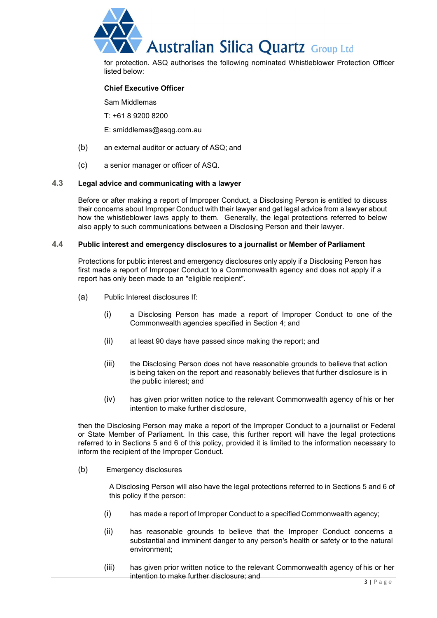

for protection. ASQ authorises the following nominated Whistleblower Protection Officer listed below:

## **Chief Executive Officer**

Sam Middlemas

T: +61 8 9200 8200

E: smiddlemas@asqg.com.au

- (b) an external auditor or actuary of ASQ; and
- (c) a senior manager or officer of ASQ.

#### **4.3 Legal advice and communicating with a lawyer**

Before or after making a report of Improper Conduct, a Disclosing Person is entitled to discuss their concerns about Improper Conduct with their lawyer and get legal advice from a lawyer about how the whistleblower laws apply to them. Generally, the legal protections referred to below also apply to such communications between a Disclosing Person and their lawyer.

#### **4.4 Public interest and emergency disclosures to a journalist or Member of Parliament**

Protections for public interest and emergency disclosures only apply if a Disclosing Person has first made a report of Improper Conduct to a Commonwealth agency and does not apply if a report has only been made to an "eligible recipient".

- (a) Public Interest disclosures If:
	- (i) a Disclosing Person has made a report of Improper Conduct to one of the Commonwealth agencies specified in Section 4; and
	- (ii) at least 90 days have passed since making the report; and
	- (iii) the Disclosing Person does not have reasonable grounds to believe that action is being taken on the report and reasonably believes that further disclosure is in the public interest; and
	- (iv) has given prior written notice to the relevant Commonwealth agency of his or her intention to make further disclosure,

then the Disclosing Person may make a report of the Improper Conduct to a journalist or Federal or State Member of Parliament. In this case, this further report will have the legal protections referred to in Sections 5 and 6 of this policy, provided it is limited to the information necessary to inform the recipient of the Improper Conduct.

(b) Emergency disclosures

A Disclosing Person will also have the legal protections referred to in Sections 5 and 6 of this policy if the person:

- (i) has made a report of Improper Conduct to a specified Commonwealth agency;
- (ii) has reasonable grounds to believe that the Improper Conduct concerns a substantial and imminent danger to any person's health or safety or to the natural environment;
- (iii) has given prior written notice to the relevant Commonwealth agency of his or her intention to make further disclosure; and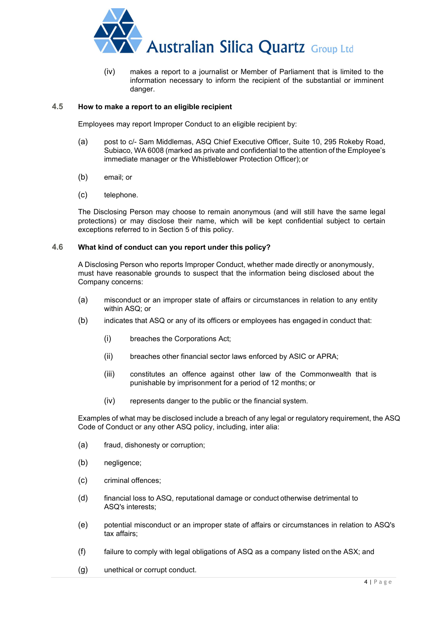

(iv) makes a report to a journalist or Member of Parliament that is limited to the information necessary to inform the recipient of the substantial or imminent danger.

## **4.5 How to make a report to an eligible recipient**

Employees may report Improper Conduct to an eligible recipient by:

- (a) post to c/- Sam Middlemas, ASQ Chief Executive Officer, Suite 10, 295 Rokeby Road, Subiaco, WA 6008 (marked as private and confidential to the attention of the Employee's immediate manager or the Whistleblower Protection Officer); or
- (b) email; or
- (c) telephone.

The Disclosing Person may choose to remain anonymous (and will still have the same legal protections) or may disclose their name, which will be kept confidential subject to certain exceptions referred to in Section 5 of this policy.

## **4.6 What kind of conduct can you report under this policy?**

A Disclosing Person who reports Improper Conduct, whether made directly or anonymously, must have reasonable grounds to suspect that the information being disclosed about the Company concerns:

- (a) misconduct or an improper state of affairs or circumstances in relation to any entity within ASQ; or
- (b) indicates that ASQ or any of its officers or employees has engaged in conduct that:
	- (i) breaches the Corporations Act;
	- (ii) breaches other financial sector laws enforced by ASIC or APRA;
	- (iii) constitutes an offence against other law of the Commonwealth that is punishable by imprisonment for a period of 12 months; or
	- (iv) represents danger to the public or the financial system.

Examples of what may be disclosed include a breach of any legal or regulatory requirement, the ASQ Code of Conduct or any other ASQ policy, including, inter alia:

- (a) fraud, dishonesty or corruption;
- (b) negligence;
- (c) criminal offences;
- (d) financial loss to ASQ, reputational damage or conduct otherwise detrimental to ASQ's interests;
- (e) potential misconduct or an improper state of affairs or circumstances in relation to ASQ's tax affairs;
- (f) failure to comply with legal obligations of ASQ as a company listed on the ASX; and
- (g) unethical or corrupt conduct.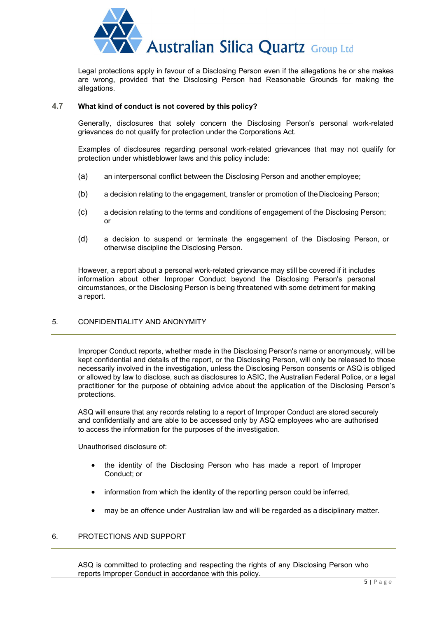

Legal protections apply in favour of a Disclosing Person even if the allegations he or she makes are wrong, provided that the Disclosing Person had Reasonable Grounds for making the allegations.

## **4.7 What kind of conduct is not covered by this policy?**

Generally, disclosures that solely concern the Disclosing Person's personal work-related grievances do not qualify for protection under the Corporations Act.

Examples of disclosures regarding personal work-related grievances that may not qualify for protection under whistleblower laws and this policy include:

- (a) an interpersonal conflict between the Disclosing Person and another employee;
- (b) a decision relating to the engagement, transfer or promotion of the Disclosing Person;
- (c) a decision relating to the terms and conditions of engagement of the Disclosing Person; or
- (d) a decision to suspend or terminate the engagement of the Disclosing Person, or otherwise discipline the Disclosing Person.

However, a report about a personal work-related grievance may still be covered if it includes information about other Improper Conduct beyond the Disclosing Person's personal circumstances, or the Disclosing Person is being threatened with some detriment for making a report.

## 5. CONFIDENTIALITY AND ANONYMITY

Improper Conduct reports, whether made in the Disclosing Person's name or anonymously, will be kept confidential and details of the report, or the Disclosing Person, will only be released to those necessarily involved in the investigation, unless the Disclosing Person consents or ASQ is obliged or allowed by law to disclose, such as disclosures to ASIC, the Australian Federal Police, or a legal practitioner for the purpose of obtaining advice about the application of the Disclosing Person's protections.

ASQ will ensure that any records relating to a report of Improper Conduct are stored securely and confidentially and are able to be accessed only by ASQ employees who are authorised to access the information for the purposes of the investigation.

Unauthorised disclosure of:

- the identity of the Disclosing Person who has made a report of Improper Conduct; or
- information from which the identity of the reporting person could be inferred,
- may be an offence under Australian law and will be regarded as a disciplinary matter.

# 6. PROTECTIONS AND SUPPORT

ASQ is committed to protecting and respecting the rights of any Disclosing Person who reports Improper Conduct in accordance with this policy.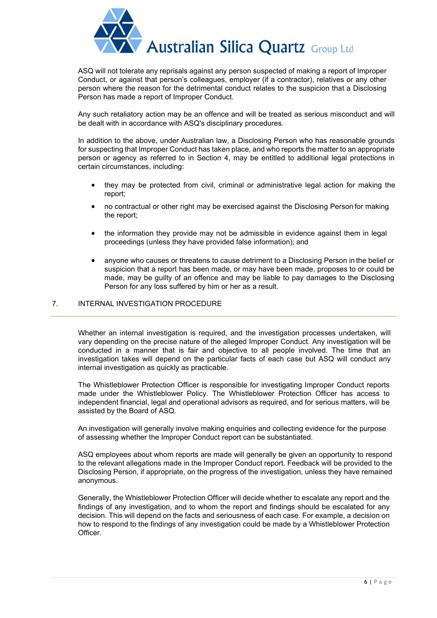

ASQ will not tolerate any reprisals against any person suspected of making a report of Improper Conduct, or against that person's colleagues, employer (if a contractor), relatives or any other person where the reason for the detrimental conduct relates to the suspicion that a Disclosing Person has made a report of Improper Conduct.

Any such retaliatory action may be an offence and will be treated as serious misconduct and will be dealt with in accordance with ASQ's disciplinary procedures.

In addition to the above, under Australian law, a Disclosing Person who has reasonable grounds for suspecting that Improper Conduct has taken place, and who reports the matter to an appropriate person or agency as referred to in Section 4, may be entitled to additional legal protections in certain circumstances, including:

- they may be protected from civil, criminal or administrative legal action for making the report;
- no contractual or other right may be exercised against the Disclosing Person for making the report;
- the information they provide may not be admissible in evidence against them in legal proceedings (unless they have provided false information); and
- anyone who causes or threatens to cause detriment to a Disclosing Person in the belief or suspicion that a report has been made, or may have been made, proposes to or could be made, may be guilty of an offence and may be liable to pay damages to the Disclosing Person for any loss suffered by him or her as a result.

## 7. INTERNAL INVESTIGATION PROCEDURE

Whether an internal investigation is required, and the investigation processes undertaken, will vary depending on the precise nature of the alleged Improper Conduct. Any investigation will be conducted in a manner that is fair and objective to all people involved. The time that an investigation takes will depend on the particular facts of each case but ASQ will conduct any internal investigation as quickly as practicable.

The Whistleblower Protection Officer is responsible for investigating Improper Conduct reports made under the Whistleblower Policy. The Whistleblower Protection Officer has access to independent financial, legal and operational advisors as required, and for serious matters, will be assisted by the Board of ASQ.

An investigation will generally involve making enquiries and collecting evidence for the purpose of assessing whether the Improper Conduct report can be substantiated.

ASQ employees about whom reports are made will generally be given an opportunity to respond to the relevant allegations made in the Improper Conduct report. Feedback will be provided to the Disclosing Person, if appropriate, on the progress of the investigation, unless they have remained anonymous.

Generally, the Whistleblower Protection Officer will decide whether to escalate any report and the findings of any investigation, and to whom the report and findings should be escalated for any decision. This will depend on the facts and seriousness of each case. For example, a decision on how to respond to the findings of any investigation could be made by a Whistleblower Protection Officer.